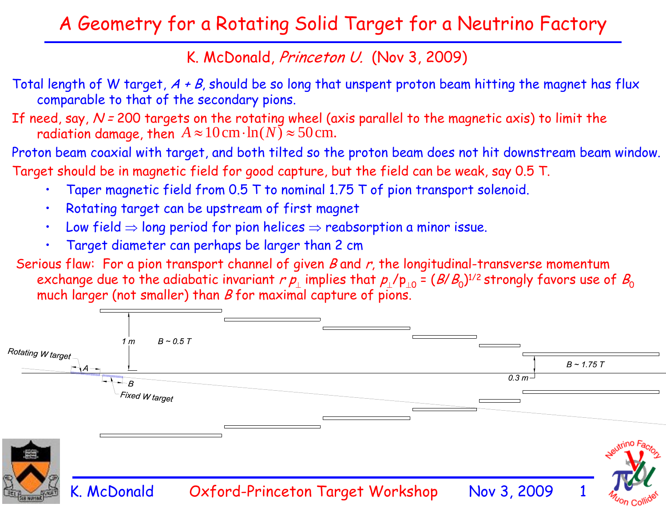## A Geometry for a Rotating Solid Target for a Neutrino Factory

## K. McDonald, Princeton U. (Nov 3, 2009)

- Total length of W target,  $A + B$ , should be so long that unspent proton beam hitting the magnet has flux comparable to that of the secondary pions.
- If need, say,  $N = 200$  targets on the rotating wheel (axis parallel to the magnetic axis) to limit the radiation damage, then  $A \approx 10\,\text{cm} \cdot \text{ln}(N) \approx 50\,\text{cm}.$
- Proton beam coaxial with target, and both tilted so the proton beam does not hit downstream beam window. Target should be in magnetic field for good capture, but the field can be weak, say 0.5 T.
	- •Taper magnetic field from 0.5 T to nominal 1.75 T of pion transport solenoid.
	- •Rotating target can be upstream of first magnet
	- •Low field  $\Rightarrow$  long period for pion helices  $\Rightarrow$  reabsorption a minor issue.
	- •Target diameter can perhaps be larger than 2 cm
- Serious flaw: For a pion transport channel of given B and  $r$ , the longitudinal-transverse momentum exchange due to the adiabatic invariant  $r$   $\rho_{_{\perp}}$  implies that  $\rho_{_{\perp}}$ /p $_{_{\perp 0}}$  = ( $B/B_{0}$ ) $^{1/2}$  strongly favors use of  $B_{0}$ much larger (not smaller) than  $B$  for maximal capture of pions.